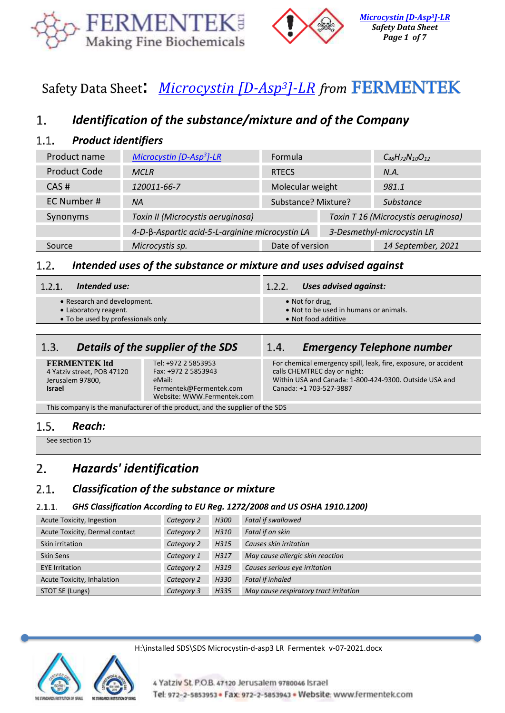



# Safety Data Sheet: *[Microcystin \[D-Asp](https://www.fermentek.com/node/876)3]-LR from*

# *Identification of the substance/mixture and of the Company*  $\mathbf{1}$ .

### $1.1.$ *Product identifiers*

| Product name        | Microcystin $[D-Asp^3]-LR$                                                    | Formula             |                                     | $C_{48}H_{72}N_{10}O_{12}$ |
|---------------------|-------------------------------------------------------------------------------|---------------------|-------------------------------------|----------------------------|
| <b>Product Code</b> | <b>MCLR</b>                                                                   | <b>RTECS</b>        |                                     | N.A.                       |
| CAS#                | 120011-66-7                                                                   | Molecular weight    |                                     | 981.1                      |
| EC Number #         | <b>NA</b>                                                                     | Substance? Mixture? |                                     | Substance                  |
| Synonyms            | Toxin II (Microcystis aeruginosa)                                             |                     | Toxin T 16 (Microcystis aeruginosa) |                            |
|                     | 4-D-β-Aspartic acid-5-L-arginine microcystin LA<br>3-Desmethyl-microcystin LR |                     |                                     |                            |
| Source              | Microcystis sp.                                                               | Date of version     |                                     | 14 September, 2021         |

### *Intended uses of the substance or mixture and uses advised against*  $1.2.$

- Research and development.
- Laboratory reagent.
- To be used by professionals only

# $1.3.$

**FERMENTEK ltd** 4 Yatziv street, POB 47120 Jerusalem 97800, **Israel** 

Tel: +972 2 5853953 Fax: +972 2 5853943 eMail: Fermentek@Fermentek.com Website[: WWW.Fermentek.com](http://www.fermentek.com/)

# *Intended use: Uses advised against:*

- Not for drug,
- Not to be used in humans or animals.
- Not food additive

# *Details of the supplier of the SDS Emergency Telephone number*

For chemical emergency spill, leak, fire, exposure, or accident calls CHEMTREC day or night: Within USA and Canada: 1-800-424-9300. Outside USA and Canada: +1 703-527-3887

This company is the manufacturer of the product, and the supplier of the SDS

### $1.5.$ *Reach:*

See section 15

# 2. *Hazards' identification*

#### $2.1.$ *Classification of the substance or mixture*

#### $2.1.1.$ *GHS Classification According to EU Reg. 1272/2008 and US OSHA 1910.1200)*

| Acute Toxicity, Ingestion      | Category 2 | H300 | <b>Fatal if swallowed</b>              |
|--------------------------------|------------|------|----------------------------------------|
| Acute Toxicity, Dermal contact | Category 2 | H310 | Fatal if on skin                       |
| Skin irritation                | Category 2 | H315 | Causes skin irritation                 |
| Skin Sens                      | Category 1 | H317 | May cause allergic skin reaction       |
| <b>EYE</b> Irritation          | Category 2 | H319 | Causes serious eye irritation          |
| Acute Toxicity, Inhalation     | Category 2 | H330 | <b>Fatal if inhaled</b>                |
| STOT SE (Lungs)                | Category 3 | H335 | May cause respiratory tract irritation |

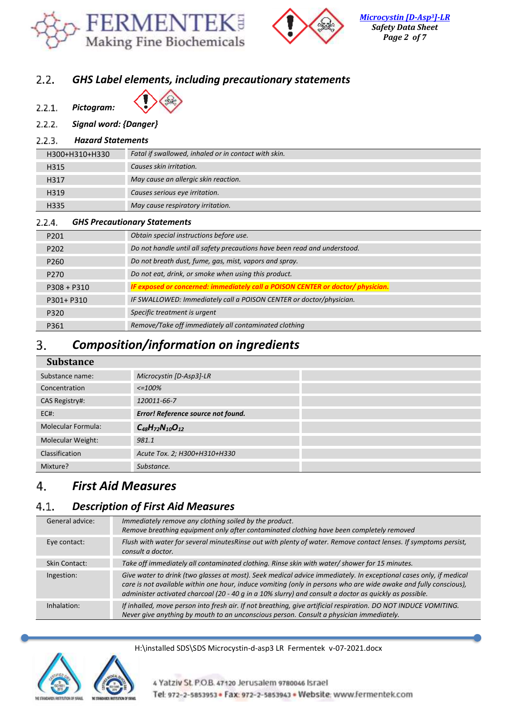



## *GHS Label elements, including precautionary statements*   $2.2.$

- $2.2.1.$ *Pictogram:*
- 
- *Signal word: {Danger}*  $2.2.2.$

#### $2.2.3.$ *Hazard Statements*

| H300+H310+H330   | Fatal if swallowed, inhaled or in contact with skin. |
|------------------|------------------------------------------------------|
| H315             | Causes skin irritation.                              |
| H317             | May cause an allergic skin reaction.                 |
| H319             | Causes serious eye irritation.                       |
| H <sub>335</sub> | May cause respiratory irritation.                    |

#### $2.2.4.$ *GHS Precautionary Statements*

| P201             | Obtain special instructions before use.                                         |
|------------------|---------------------------------------------------------------------------------|
| P <sub>202</sub> | Do not handle until all safety precautions have been read and understood.       |
| P <sub>260</sub> | Do not breath dust, fume, gas, mist, vapors and spray.                          |
| P <sub>270</sub> | Do not eat, drink, or smoke when using this product.                            |
| $P308 + P310$    | IF exposed or concerned: immediately call a POISON CENTER or doctor/ physician. |
| P301+ P310       | IF SWALLOWED: Immediately call a POISON CENTER or doctor/physician.             |
| P320             | Specific treatment is urgent                                                    |
| P361             | Remove/Take off immediately all contaminated clothing                           |

# *Composition/information on ingredients* 3.

| <b>Substance</b>         |                                    |  |
|--------------------------|------------------------------------|--|
| Substance name:          | Microcystin [D-Asp3]-LR            |  |
| Concentration            | $\epsilon = 100\%$                 |  |
| CAS Registry#:           | 120011-66-7                        |  |
| $EC#$ :                  | Error! Reference source not found. |  |
| Molecular Formula:       | $C_{48}H_{72}N_{10}O_{12}$         |  |
| <b>Molecular Weight:</b> | 981.1                              |  |
| Classification           | Acute Tox. 2; H300+H310+H330       |  |
| Mixture?                 | Substance.                         |  |

# *First Aid Measures* 4.

# *Description of First Aid Measures*  $4.1.$

| General advice: | Immediately remove any clothing soiled by the product.<br>Remove breathing equipment only after contaminated clothing have been completely removed                                                                                                                                                                                              |
|-----------------|-------------------------------------------------------------------------------------------------------------------------------------------------------------------------------------------------------------------------------------------------------------------------------------------------------------------------------------------------|
| Eye contact:    | Flush with water for several minutesRinse out with plenty of water. Remove contact lenses. If symptoms persist,<br>consult a doctor.                                                                                                                                                                                                            |
| Skin Contact:   | Take off immediately all contaminated clothing. Rinse skin with water/ shower for 15 minutes.                                                                                                                                                                                                                                                   |
| Ingestion:      | Give water to drink (two glasses at most). Seek medical advice immediately. In exceptional cases only, if medical<br>care is not available within one hour, induce vomiting (only in persons who are wide awake and fully conscious),<br>administer activated charcoal (20 - 40 g in a 10% slurry) and consult a doctor as quickly as possible. |
| Inhalation:     | If inhalled, move person into fresh air. If not breathing, give artificial respiration. DO NOT INDUCE VOMITING.<br>Never give anything by mouth to an unconscious person. Consult a physician immediately.                                                                                                                                      |

# H:\installed SDS\SDS Microcystin-d-asp3 LR Fermentek v-07-2021.docx



4 Yatziv St. P.O.B. 47120 Jerusalem 9780046 Israel Tel: 972-2-5853953 · Fax: 972-2-5853943 · Website: www.fermentek.com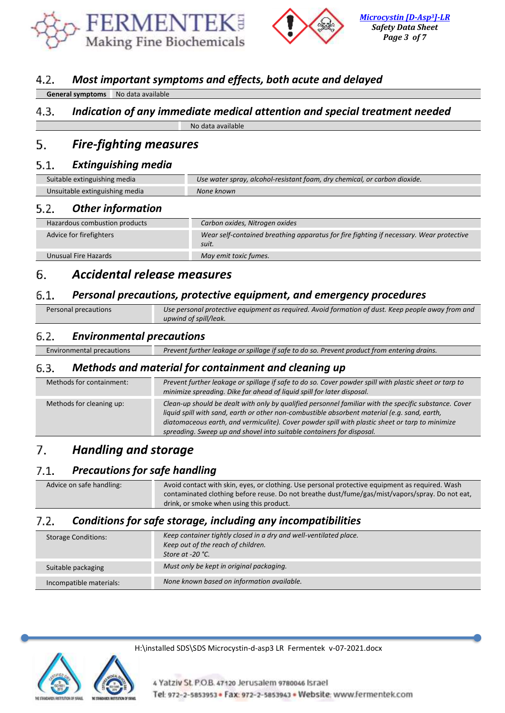



### $4.2.$ *Most important symptoms and effects, both acute and delayed*

| <b>General symptoms</b> | No data available |
|-------------------------|-------------------|
|                         |                   |

# $4.3.$ *Indication of any immediate medical attention and special treatment needed* No data available

## *Fire-fighting measures* 5.

#### $5.1.$ *Extinguishing media*

| Suitable extinguishing media   | Use water spray, alcohol-resistant foam, dry chemical, or carbon dioxide. |
|--------------------------------|---------------------------------------------------------------------------|
| Unsuitable extinguishing media | None known                                                                |

#### $5.2.$ *Other information*

| Hazardous combustion products | Carbon oxides, Nitrogen oxides                                                                   |
|-------------------------------|--------------------------------------------------------------------------------------------------|
|                               |                                                                                                  |
| Advice for firefighters       | Wear self-contained breathing apparatus for fire fighting if necessary. Wear protective<br>suit. |
|                               |                                                                                                  |
| Unusual Fire Hazards          | May emit toxic fumes.                                                                            |
|                               |                                                                                                  |

### 6. *Accidental release measures*

#### $6.1.$ *Personal precautions, protective equipment, and emergency procedures*

| Personal precautions | Use personal protective equipment as required. Avoid formation of dust. Keep people away from and |
|----------------------|---------------------------------------------------------------------------------------------------|
|                      | upwind of spill/leak.                                                                             |

#### $6.2.$ *Environmental precautions*

Environmental precautions *Prevent further leakage or spillage if safe to do so. Prevent product from entering drains.*

#### 6.3. *Methods and material for containment and cleaning up*

| Methods for containment: | Prevent further leakage or spillage if safe to do so. Cover powder spill with plastic sheet or tarp to<br>minimize spreading. Dike far ahead of liquid spill for later disposal.                                                                                                                                                                                                  |
|--------------------------|-----------------------------------------------------------------------------------------------------------------------------------------------------------------------------------------------------------------------------------------------------------------------------------------------------------------------------------------------------------------------------------|
| Methods for cleaning up: | Clean-up should be dealt with only by qualified personnel familiar with the specific substance. Cover<br>liquid spill with sand, earth or other non-combustible absorbent material (e.g. sand, earth,<br>diatomaceous earth, and vermiculite). Cover powder spill with plastic sheet or tarp to minimize<br>spreading. Sweep up and shovel into suitable containers for disposal. |

# $7<sub>1</sub>$ *Handling and storage*

# *Precautions for safe handling*  $7.1.$

| Advice on safe handling: | Avoid contact with skin, eyes, or clothing. Use personal protective equipment as required. Wash |
|--------------------------|-------------------------------------------------------------------------------------------------|
|                          | contaminated clothing before reuse. Do not breathe dust/fume/gas/mist/vapors/spray. Do not eat, |
|                          | drink, or smoke when using this product.                                                        |

### $7.2.$ *Conditions for safe storage, including any incompatibilities*

| <b>Storage Conditions:</b> | Keep container tightly closed in a dry and well-ventilated place.<br>Keep out of the reach of children.<br>Store at -20 $^{\circ}$ C. |
|----------------------------|---------------------------------------------------------------------------------------------------------------------------------------|
| Suitable packaging         | Must only be kept in original packaging.                                                                                              |
| Incompatible materials:    | None known based on information available.                                                                                            |

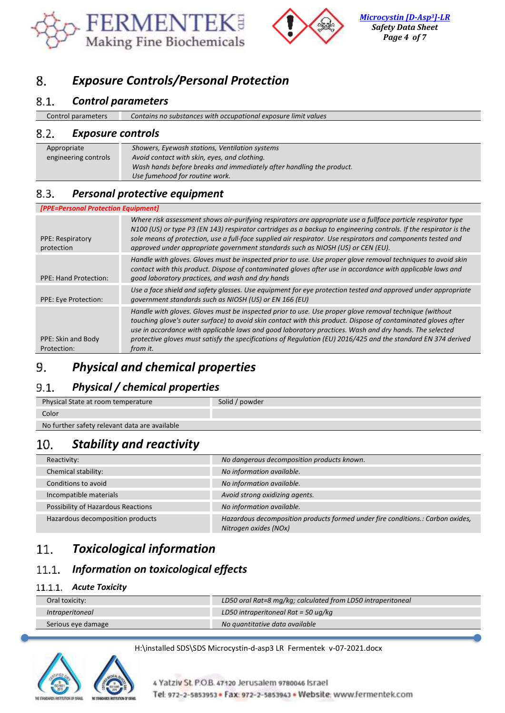



*[Microcystin \[D-Asp](https://www.fermentek.com/node/876)3]-LR Safety Data Sheet Page 4 of 7*

# 8. *Exposure Controls/Personal Protection*

### $8.1.$ *Control parameters*

| Control parameters       | Contains no substances with occupational exposure limit values |
|--------------------------|----------------------------------------------------------------|
| ר ס<br>Evnacura cantrale |                                                                |

#### *Exposure controls* 8.2.

| Appropriate          | Showers, Eyewash stations, Ventilation systems                       |
|----------------------|----------------------------------------------------------------------|
| engineering controls | Avoid contact with skin, eyes, and clothing.                         |
|                      | Wash hands before breaks and immediately after handling the product. |
|                      | Use fumehood for routine work.                                       |

### *Personal protective equipment* 8.3.

| [PPE=Personal Protection Equipment]   |                                                                                                                                                                                                                                                                                                                                                                                                                                                                |
|---------------------------------------|----------------------------------------------------------------------------------------------------------------------------------------------------------------------------------------------------------------------------------------------------------------------------------------------------------------------------------------------------------------------------------------------------------------------------------------------------------------|
| <b>PPE: Respiratory</b><br>protection | Where risk assessment shows air-purifying respirators are appropriate use a fullface particle respirator type<br>N100 (US) or type P3 (EN 143) respirator cartridges as a backup to engineering controls. If the respirator is the<br>sole means of protection, use a full-face supplied air respirator. Use respirators and components tested and<br>approved under appropriate government standards such as NIOSH (US) or CEN (EU).                          |
| <b>PPE: Hand Protection:</b>          | Handle with gloves. Gloves must be inspected prior to use. Use proper glove removal techniques to avoid skin<br>contact with this product. Dispose of contaminated gloves after use in accordance with applicable laws and<br>good laboratory practices, and wash and dry hands                                                                                                                                                                                |
| PPE: Eye Protection:                  | Use a face shield and safety glasses. Use equipment for eye protection tested and approved under appropriate<br>government standards such as NIOSH (US) or EN 166 (EU)                                                                                                                                                                                                                                                                                         |
| PPE: Skin and Body<br>Protection:     | Handle with gloves. Gloves must be inspected prior to use. Use proper glove removal technique (without<br>touching glove's outer surface) to avoid skin contact with this product. Dispose of contaminated gloves after<br>use in accordance with applicable laws and good laboratory practices. Wash and dry hands. The selected<br>protective gloves must satisfy the specifications of Regulation (EU) 2016/425 and the standard EN 374 derived<br>from it. |

# *Physical and chemical properties* 9.

### *Physical / chemical properties*  $9.1.$

| <b>Physical State at room temperature</b>     | Solid / powder |
|-----------------------------------------------|----------------|
| Color                                         |                |
| No further safety relevant data are available |                |

# *Stability and reactivity*  $10<sub>1</sub>$

| Reactivity:                        | No dangerous decomposition products known.                                                              |
|------------------------------------|---------------------------------------------------------------------------------------------------------|
| Chemical stability:                | No information available.                                                                               |
| Conditions to avoid                | No information available.                                                                               |
| Incompatible materials             | Avoid strong oxidizing agents.                                                                          |
| Possibility of Hazardous Reactions | No information available.                                                                               |
| Hazardous decomposition products   | Hazardous decomposition products formed under fire conditions.: Carbon oxides,<br>Nitrogen oxides (NOx) |

# *Toxicological information*  $11<sub>1</sub>$

# *Information on toxicological effects*  $11.1.$

# *Acute Toxicity*

| Oral toxicity:         | LD50 oral Rat=8 mg/kg; calculated from LD50 intraperitoneal |
|------------------------|-------------------------------------------------------------|
| <i>Intraperitoneal</i> | LD50 intraperitoneal Rat = 50 $uq/kg$                       |
| Serious eye damage     | No auantitative data available                              |

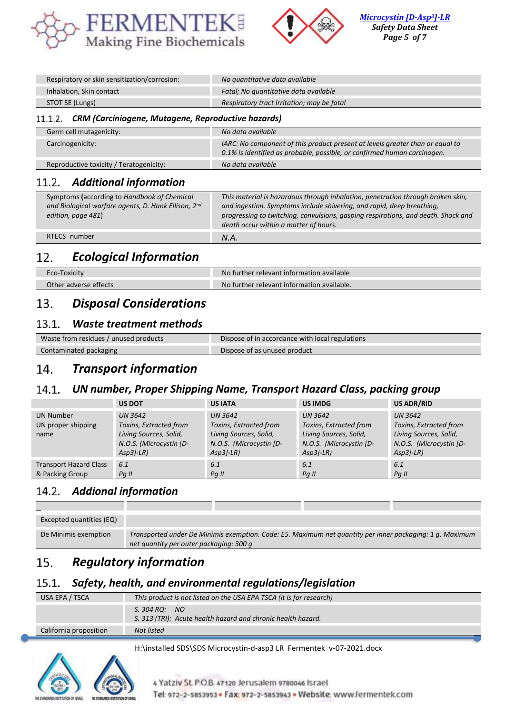



| Respiratory or skin sensitization/corrosion: | No quantitative data available             |
|----------------------------------------------|--------------------------------------------|
| Inhalation, Skin contact                     | Fatal; No quantitative data available      |
| STOT SE (Lungs)                              | Respiratory tract Irritation; may be fatal |

# *CRM (Carciniogene, Mutagene, Reproductive hazards)*

| Germ cell mutagenicity:                 | No data available                                                                                                                                         |
|-----------------------------------------|-----------------------------------------------------------------------------------------------------------------------------------------------------------|
| Carcinogenicity:                        | IARC: No component of this product present at levels greater than or equal to<br>0.1% is identified as probable, possible, or confirmed human carcinogen. |
| Reproductive toxicity / Teratogenicity: | No data available                                                                                                                                         |

#### $11.2$ *Additional information*

| Symptoms (according to Handbook of Chemical<br>and Biological warfare agents, D. Hank Ellison, 2nd<br>edition, page 481) | This material is hazardous through inhalation, penetration through broken skin,<br>and ingestion. Symptoms include shivering, and rapid, deep breathing,<br>progressing to twitching, convulsions, gasping respirations, and death. Shock and<br>death occur within a matter of hours. |
|--------------------------------------------------------------------------------------------------------------------------|----------------------------------------------------------------------------------------------------------------------------------------------------------------------------------------------------------------------------------------------------------------------------------------|
| RTECS number                                                                                                             | N.A.                                                                                                                                                                                                                                                                                   |

# 12. *Ecological Information*

| Eco-Toxicity          | No further relevant information available  |
|-----------------------|--------------------------------------------|
| Other adverse effects | No further relevant information available. |

# *Disposal Considerations*  $13.$

#### $13.1.$ *Waste treatment methods*

| Waste from residues / unused products | Dispose of in accordance with local regulations |
|---------------------------------------|-------------------------------------------------|
| Contaminated packaging                | Dispose of as unused product                    |

# *Transport information*  $14.$

#### $14.1.$ *UN number, Proper Shipping Name, Transport Hazard Class, packing group*

|                                                  | <b>US DOT</b>                                                                                                 | <b>US IATA</b>                                                                                               | <b>US IMDG</b>                                                                                                | <b>US ADR/RID</b>                                                                                             |
|--------------------------------------------------|---------------------------------------------------------------------------------------------------------------|--------------------------------------------------------------------------------------------------------------|---------------------------------------------------------------------------------------------------------------|---------------------------------------------------------------------------------------------------------------|
| <b>UN Number</b><br>UN proper shipping<br>name   | <b>UN 3642</b><br>Toxins, Extracted from<br>Living Sources, Solid,<br>N.O.S. (Microcystin [D-<br>$Asp3I-LR$ ) | <b>UN 3642</b><br>Toxins, Extracted from<br>Living Sources, Solid,<br>N.O.S. (Microcystin [D-<br>$Asp3$ -LR) | <b>UN 3642</b><br>Toxins, Extracted from<br>Living Sources, Solid,<br>N.O.S. (Microcystin [D-<br>$Asp3I-LR$ ) | <b>UN 3642</b><br>Toxins, Extracted from<br>Living Sources, Solid,<br>N.O.S. (Microcystin [D-<br>$Asp3I-LR$ ) |
| <b>Transport Hazard Class</b><br>& Packing Group | 6.1<br>$Pq$ II                                                                                                | 6.1<br>$Pq$ II                                                                                               | 6.1<br>Pa II                                                                                                  | 6.1<br>$Pq$ II                                                                                                |

### 14.2. *Addional information*

| <b>Excepted quantities (EQ)</b> |                                                                                                          |
|---------------------------------|----------------------------------------------------------------------------------------------------------|
| De Minimis exemption            | Transported under De Minimis exemption. Code: E5. Maximum net quantity per inner packaging: 1 g. Maximum |
|                                 | net quantity per outer packaging: 300 g                                                                  |

# 15. *Regulatory information*

#### $15.1.$ *Safety, health, and environmental regulations/legislation*

| USA EPA / TSCA         | This product is not listed on the USA EPA TSCA (it is for research)           |
|------------------------|-------------------------------------------------------------------------------|
|                        | S. 304 RQ: NO<br>S. 313 (TRI): Acute health hazard and chronic health hazard. |
| California proposition | Not listed                                                                    |

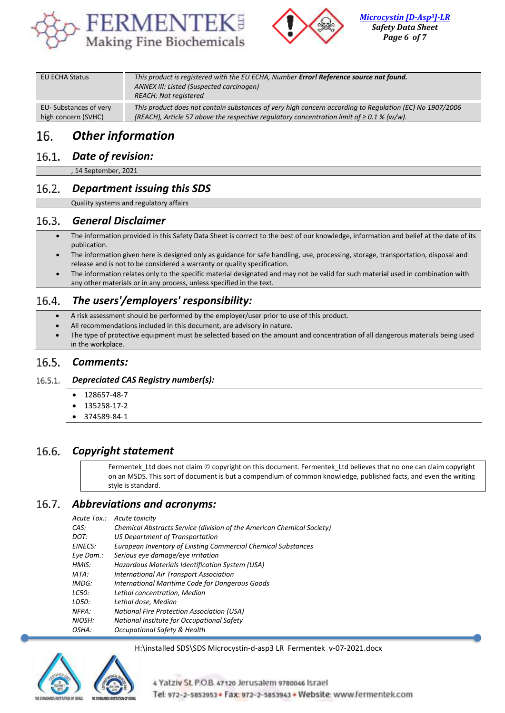



| EU ECHA Status        | This product is registered with the EU ECHA, Number Error! Reference source not found.<br>ANNEX III: Listed (Suspected carcinogen)<br><b>REACH: Not registered</b> |
|-----------------------|--------------------------------------------------------------------------------------------------------------------------------------------------------------------|
|                       |                                                                                                                                                                    |
| EU-Substances of very | This product does not contain substances of very high concern according to Regulation (EC) No 1907/2006                                                            |
| high concern (SVHC)   | (REACH), Article 57 above the respective regulatory concentration limit of $\geq 0.1$ % (w/w).                                                                     |

# 16. *Other information*

# *Date of revision:*

, 14 September, 2021

# *Department issuing this SDS*

Quality systems and regulatory affairs

#### $16.3.$ *General Disclaimer*

- The information provided in this Safety Data Sheet is correct to the best of our knowledge, information and belief at the date of its publication.
- The information given here is designed only as guidance for safe handling, use, processing, storage, transportation, disposal and release and is not to be considered a warranty or quality specification.
- The information relates only to the specific material designated and may not be valid for such material used in combination with any other materials or in any process, unless specified in the text.

#### *The users'/employers' responsibility:*  $16.4.$

- A risk assessment should be performed by the employer/user prior to use of this product.
- All recommendations included in this document, are advisory in nature.
- The type of protective equipment must be selected based on the amount and concentration of all dangerous materials being used in the workplace.

#### $16.5.$ *Comments:*

#### $16.5.1.$ *Depreciated CAS Registry number(s):*

- 128657-48-7
- 135258-17-2
- 374589-84-1

#### 16.6. *Copyright statement*

Fermentek\_Ltd does not claim © copyright on this document. Fermentek\_Ltd believes that no one can claim copyright on an MSDS. This sort of document is but a compendium of common knowledge, published facts, and even the writing style is standard.

#### $16.7.$ *Abbreviations and acronyms:*

*Acute Tox.: Acute toxicity* 

| CAS:      | Chemical Abstracts Service (division of the American Chemical Society) |
|-----------|------------------------------------------------------------------------|
| DOT:      | US Department of Transportation                                        |
| EINECS:   | European Inventory of Existing Commercial Chemical Substances          |
| Eve Dam.: | Serious eye damage/eye irritation                                      |
| HMIS:     | Hazardous Materials Identification System (USA)                        |
| IATA:     | <b>International Air Transport Association</b>                         |
| IMDG:     | International Maritime Code for Dangerous Goods                        |
| LC50:     | Lethal concentration, Median                                           |
| LD50:     | Lethal dose, Median                                                    |
| NFPA:     | <b>National Fire Protection Association (USA)</b>                      |
| NIOSH:    | National Institute for Occupational Safety                             |
| OSHA:     | Occupational Safety & Health                                           |
|           |                                                                        |